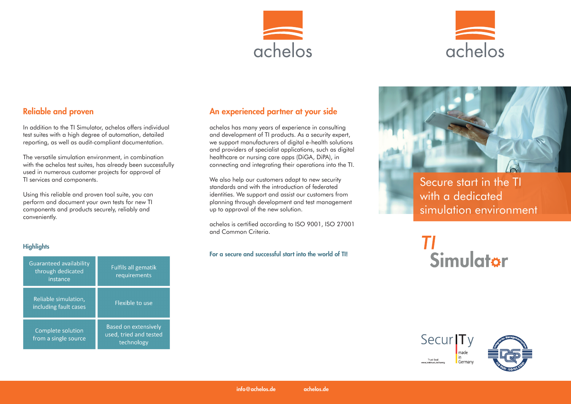



# Reliable and proven

In addition to the TI Simulator, achelos offers individual test suites with a high degree of automation, detailed reporting, as well as audit-compliant documentation.

The versatile simulation environment, in combination with the achelos test suites, has already been successfully used in numerous customer projects for approval of TI services and components.

Using this reliable and proven tool suite, you can perform and document your own tests for new TI components and products securely, reliably and conveniently.

An experienced partner at your side

achelos has many years of experience in consulting and development of TI products. As a security expert, we support manufacturers of digital e-health solutions and providers of specialist applications, such as digital healthcare or nursing care apps (DiGA, DiPA), in connecting and integrating their operations into the TI.

We also help our customers adapt to new security standards and with the introduction of federated identities. We support and assist our customers from planning through development and test management up to approval of the new solution.

achelos is certified according to ISO 9001, ISO 27001 and Common Criteria.

For a secure and successful start into the world of TI!



# $\boldsymbol{\mathsf{H}}$ 'I<br>Simulat<del>o</del>r

### **Highlights**

| <b>Guaranteed availability</b><br>through dedicated<br>instance | <b>Fulfils all gematik</b><br>requirements                          |
|-----------------------------------------------------------------|---------------------------------------------------------------------|
| Reliable simulation,<br>including fault cases                   | Flexible to use                                                     |
| Complete solution<br>from a single source                       | <b>Based on extensively</b><br>used, tried and tested<br>technology |

Secur<sub>ITy</sub> made **in Trust Seal** Germany